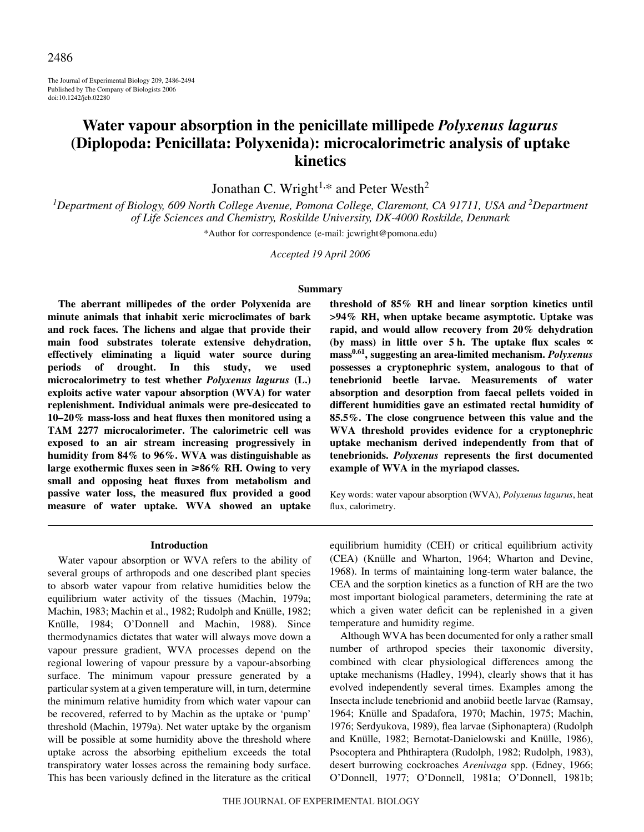The Journal of Experimental Biology 209, 2486-2494 Published by The Company of Biologists 2006 doi:10.1242/jeb.02280

# **Water vapour absorption in the penicillate millipede** *Polyxenus lagurus* **(Diplopoda: Penicillata: Polyxenida): microcalorimetric analysis of uptake kinetics**

Jonathan C. Wright<sup>1,\*</sup> and Peter Westh<sup>2</sup>

*1 Department of Biology, 609 North College Avenue, Pomona College, Claremont, CA 91711, USA and 2 Department of Life Sciences and Chemistry, Roskilde University, DK-4000 Roskilde, Denmark*

\*Author for correspondence (e-mail: jcwright@pomona.edu)

*Accepted 19 April 2006*

#### **Summary**

**The aberrant millipedes of the order Polyxenida are minute animals that inhabit xeric microclimates of bark and rock faces. The lichens and algae that provide their main food substrates tolerate extensive dehydration, effectively eliminating a liquid water source during periods of drought. In this study, we used microcalorimetry to test whether** *Polyxenus lagurus* **(L.) exploits active water vapour absorption (WVA) for water replenishment. Individual animals were pre-desiccated to 10–20% mass-loss and heat fluxes then monitored using a TAM 2277 microcalorimeter. The calorimetric cell was exposed to an air stream increasing progressively in humidity from 84% to 96%. WVA was distinguishable as** large exothermic fluxes seen in ≥86% RH. Owing to very **small and opposing heat fluxes from metabolism and passive water loss, the measured flux provided a good measure of water uptake. WVA showed an uptake**

**threshold of 85% RH and linear sorption kinetics until >94% RH, when uptake became asymptotic. Uptake was rapid, and would allow recovery from 20% dehydration** (by mass) in little over 5 h. The uptake flux scales  $\infty$ mass<sup>0.61</sup>, suggesting an area-limited mechanism. *Polyxenus* **possesses a cryptonephric system, analogous to that of tenebrionid beetle larvae. Measurements of water absorption and desorption from faecal pellets voided in different humidities gave an estimated rectal humidity of 85.5%. The close congruence between this value and the WVA threshold provides evidence for a cryptonephric uptake mechanism derived independently from that of tenebrionids.** *Polyxenus* **represents the first documented example of WVA in the myriapod classes.**

Key words: water vapour absorption (WVA), *Polyxenus lagurus*, heat flux, calorimetry.

#### **Introduction**

Water vapour absorption or WVA refers to the ability of several groups of arthropods and one described plant species to absorb water vapour from relative humidities below the equilibrium water activity of the tissues (Machin, 1979a; Machin, 1983; Machin et al., 1982; Rudolph and Knülle, 1982; Knülle, 1984; O'Donnell and Machin, 1988). Since thermodynamics dictates that water will always move down a vapour pressure gradient, WVA processes depend on the regional lowering of vapour pressure by a vapour-absorbing surface. The minimum vapour pressure generated by a particular system at a given temperature will, in turn, determine the minimum relative humidity from which water vapour can be recovered, referred to by Machin as the uptake or 'pump' threshold (Machin, 1979a). Net water uptake by the organism will be possible at some humidity above the threshold where uptake across the absorbing epithelium exceeds the total transpiratory water losses across the remaining body surface. This has been variously defined in the literature as the critical

equilibrium humidity (CEH) or critical equilibrium activity (CEA) (Knülle and Wharton, 1964; Wharton and Devine, 1968). In terms of maintaining long-term water balance, the CEA and the sorption kinetics as a function of RH are the two most important biological parameters, determining the rate at which a given water deficit can be replenished in a given temperature and humidity regime.

Although WVA has been documented for only a rather small number of arthropod species their taxonomic diversity, combined with clear physiological differences among the uptake mechanisms (Hadley, 1994), clearly shows that it has evolved independently several times. Examples among the Insecta include tenebrionid and anobiid beetle larvae (Ramsay, 1964; Knülle and Spadafora, 1970; Machin, 1975; Machin, 1976; Serdyukova, 1989), flea larvae (Siphonaptera) (Rudolph and Knülle, 1982; Bernotat-Danielowski and Knülle, 1986), Psocoptera and Phthiraptera (Rudolph, 1982; Rudolph, 1983), desert burrowing cockroaches *Arenivaga* spp. (Edney, 1966; O'Donnell, 1977; O'Donnell, 1981a; O'Donnell, 1981b;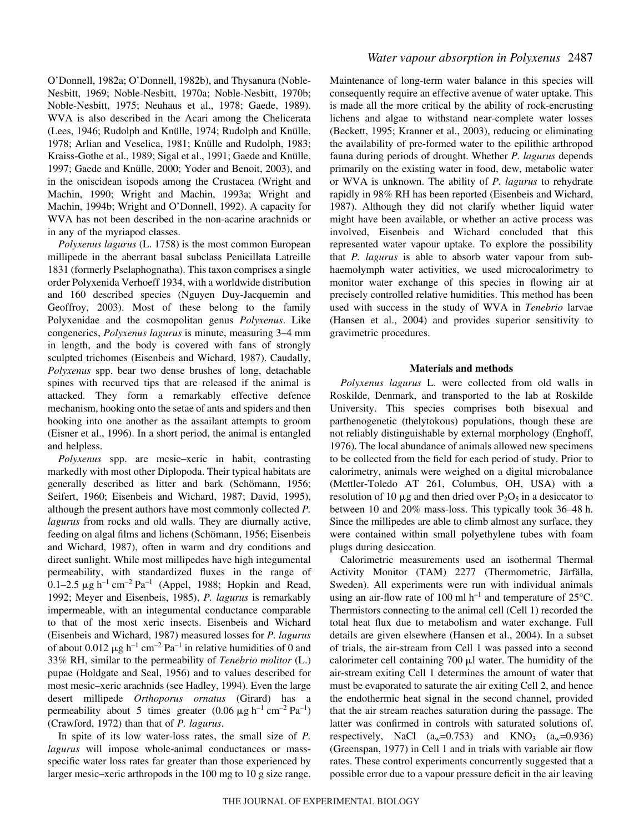O'Donnell, 1982a; O'Donnell, 1982b), and Thysanura (Noble-Nesbitt, 1969; Noble-Nesbitt, 1970a; Noble-Nesbitt, 1970b; Noble-Nesbitt, 1975; Neuhaus et al., 1978; Gaede, 1989). WVA is also described in the Acari among the Chelicerata (Lees, 1946; Rudolph and Knülle, 1974; Rudolph and Knülle, 1978; Arlian and Veselica, 1981; Knülle and Rudolph, 1983; Kraiss-Gothe et al., 1989; Sigal et al., 1991; Gaede and Knülle, 1997; Gaede and Knülle, 2000; Yoder and Benoit, 2003), and in the oniscidean isopods among the Crustacea (Wright and Machin, 1990; Wright and Machin, 1993a; Wright and Machin, 1994b; Wright and O'Donnell, 1992). A capacity for WVA has not been described in the non-acarine arachnids or in any of the myriapod classes.

*Polyxenus lagurus* (L. 1758) is the most common European millipede in the aberrant basal subclass Penicillata Latreille 1831 (formerly Pselaphognatha). This taxon comprises a single order Polyxenida Verhoeff 1934, with a worldwide distribution and 160 described species (Nguyen Duy-Jacquemin and Geoffroy, 2003). Most of these belong to the family Polyxenidae and the cosmopolitan genus *Polyxenus*. Like congenerics, *Polyxenus lagurus* is minute, measuring 3–4·mm in length, and the body is covered with fans of strongly sculpted trichomes (Eisenbeis and Wichard, 1987). Caudally, *Polyxenus* spp. bear two dense brushes of long, detachable spines with recurved tips that are released if the animal is attacked. They form a remarkably effective defence mechanism, hooking onto the setae of ants and spiders and then hooking into one another as the assailant attempts to groom (Eisner et al., 1996). In a short period, the animal is entangled and helpless.

*Polyxenus* spp. are mesic–xeric in habit, contrasting markedly with most other Diplopoda. Their typical habitats are generally described as litter and bark (Schömann, 1956; Seifert, 1960; Eisenbeis and Wichard, 1987; David, 1995), although the present authors have most commonly collected *P. lagurus* from rocks and old walls. They are diurnally active, feeding on algal films and lichens (Schömann, 1956; Eisenbeis and Wichard, 1987), often in warm and dry conditions and direct sunlight. While most millipedes have high integumental permeability, with standardized fluxes in the range of  $0.1-2.5 \mu g h^{-1}$  cm<sup>-2</sup> Pa<sup>-1</sup> (Appel, 1988; Hopkin and Read, 1992; Meyer and Eisenbeis, 1985), *P. lagurus* is remarkably impermeable, with an integumental conductance comparable to that of the most xeric insects. Eisenbeis and Wichard (Eisenbeis and Wichard, 1987) measured losses for *P. lagurus* of about 0.012  $\mu$ g h<sup>-1</sup> cm<sup>-2</sup> Pa<sup>-1</sup> in relative humidities of 0 and 33% RH, similar to the permeability of *Tenebrio molitor* (L.) pupae (Holdgate and Seal, 1956) and to values described for most mesic–xeric arachnids (see Hadley, 1994). Even the large desert millipede *Orthoporus ornatus* (Girard) has a permeability about 5 times greater  $(0.06 \,\mu g \, h^{-1} \, cm^{-2} \, Pa^{-1})$ (Crawford, 1972) than that of *P. lagurus*.

In spite of its low water-loss rates, the small size of *P. lagurus* will impose whole-animal conductances or massspecific water loss rates far greater than those experienced by larger mesic–xeric arthropods in the 100 mg to 10 g size range.

# *Water vapour absorption in Polyxenus* 2487

Maintenance of long-term water balance in this species will consequently require an effective avenue of water uptake. This is made all the more critical by the ability of rock-encrusting lichens and algae to withstand near-complete water losses (Beckett, 1995; Kranner et al., 2003), reducing or eliminating the availability of pre-formed water to the epilithic arthropod fauna during periods of drought. Whether *P. lagurus* depends primarily on the existing water in food, dew, metabolic water or WVA is unknown. The ability of *P. lagurus* to rehydrate rapidly in 98% RH has been reported (Eisenbeis and Wichard, 1987). Although they did not clarify whether liquid water might have been available, or whether an active process was involved, Eisenbeis and Wichard concluded that this represented water vapour uptake. To explore the possibility that *P. lagurus* is able to absorb water vapour from subhaemolymph water activities, we used microcalorimetry to monitor water exchange of this species in flowing air at precisely controlled relative humidities. This method has been used with success in the study of WVA in *Tenebrio* larvae (Hansen et al., 2004) and provides superior sensitivity to gravimetric procedures.

## **Materials and methods**

*Polyxenus lagurus* L. were collected from old walls in Roskilde, Denmark, and transported to the lab at Roskilde University. This species comprises both bisexual and parthenogenetic (thelytokous) populations, though these are not reliably distinguishable by external morphology (Enghoff, 1976). The local abundance of animals allowed new specimens to be collected from the field for each period of study. Prior to calorimetry, animals were weighed on a digital microbalance (Mettler-Toledo AT 261, Columbus, OH, USA) with a resolution of 10  $\mu$ g and then dried over P<sub>2</sub>O<sub>5</sub> in a desiccator to between 10 and 20% mass-loss. This typically took 36–48 h. Since the millipedes are able to climb almost any surface, they were contained within small polyethylene tubes with foam plugs during desiccation.

Calorimetric measurements used an isothermal Thermal Activity Monitor (TAM) 2277 (Thermometric, Järfälla, Sweden). All experiments were run with individual animals using an air-flow rate of 100 ml  $h^{-1}$  and temperature of 25 $^{\circ}$ C. Thermistors connecting to the animal cell (Cell 1) recorded the total heat flux due to metabolism and water exchange. Full details are given elsewhere (Hansen et al., 2004). In a subset of trials, the air-stream from Cell 1 was passed into a second calorimeter cell containing 700  $\mu$ l water. The humidity of the air-stream exiting Cell 1 determines the amount of water that must be evaporated to saturate the air exiting Cell 2, and hence the endothermic heat signal in the second channel, provided that the air stream reaches saturation during the passage. The latter was confirmed in controls with saturated solutions of, respectively, NaCl  $(a_w=0.753)$  and KNO<sub>3</sub>  $(a_w=0.936)$ (Greenspan, 1977) in Cell 1 and in trials with variable air flow rates. These control experiments concurrently suggested that a possible error due to a vapour pressure deficit in the air leaving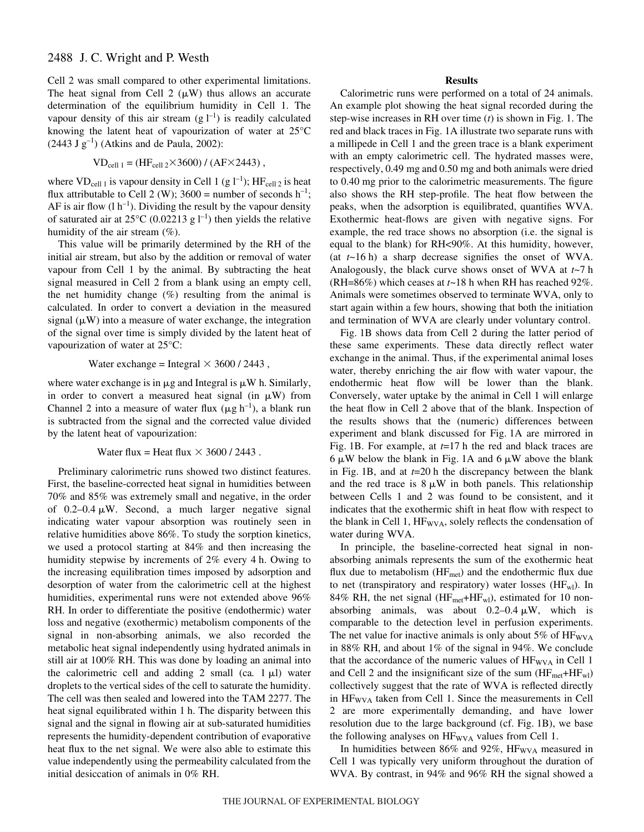Cell 2 was small compared to other experimental limitations. The heat signal from Cell 2  $(\mu W)$  thus allows an accurate determination of the equilibrium humidity in Cell 1. The vapour density of this air stream  $(g l^{-1})$  is readily calculated knowing the latent heat of vapourization of water at 25°C  $(2443 \text{ J g}^{-1})$  (Atkins and de Paula, 2002):

$$
VD_{cell 1} = (HF_{cell 2} \times 3600) / (AF \times 2443)
$$
,

where  $VD_{cell 1}$  is vapour density in Cell 1 (g  $1^{-1}$ ); HF<sub>cell 2</sub> is heat flux attributable to Cell 2 (W);  $3600 =$  number of seconds h<sup>-1</sup>; AF is air flow  $(l \, h^{-1})$ . Dividing the result by the vapour density of saturated air at  $25^{\circ}$ C (0.02213 g l<sup>-1</sup>) then yields the relative humidity of the air stream  $(\%)$ .

This value will be primarily determined by the RH of the initial air stream, but also by the addition or removal of water vapour from Cell 1 by the animal. By subtracting the heat signal measured in Cell 2 from a blank using an empty cell, the net humidity change  $(\%)$  resulting from the animal is calculated. In order to convert a deviation in the measured signal  $(\mu W)$  into a measure of water exchange, the integration of the signal over time is simply divided by the latent heat of vapourization of water at 25°C:

### Water exchange = Integral  $\times$  3600 / 2443,

where water exchange is in  $\mu$ g and Integral is  $\mu$ W h. Similarly, in order to convert a measured heat signal (in  $\mu$ W) from Channel 2 into a measure of water flux ( $\mu$ g h<sup>-1</sup>), a blank run is subtracted from the signal and the corrected value divided by the latent heat of vapourization:

### Water flux = Heat flux  $\times$  3600 / 2443.

Preliminary calorimetric runs showed two distinct features. First, the baseline-corrected heat signal in humidities between 70% and 85% was extremely small and negative, in the order of  $0.2-0.4 \mu W$ . Second, a much larger negative signal indicating water vapour absorption was routinely seen in relative humidities above 86%. To study the sorption kinetics, we used a protocol starting at 84% and then increasing the humidity stepwise by increments of  $2\%$  every 4 h. Owing to the increasing equilibration times imposed by adsorption and desorption of water from the calorimetric cell at the highest humidities, experimental runs were not extended above 96% RH. In order to differentiate the positive (endothermic) water loss and negative (exothermic) metabolism components of the signal in non-absorbing animals, we also recorded the metabolic heat signal independently using hydrated animals in still air at 100% RH. This was done by loading an animal into the calorimetric cell and adding 2 small (ca.  $1 \mu l$ ) water droplets to the vertical sides of the cell to saturate the humidity. The cell was then sealed and lowered into the TAM 2277. The heat signal equilibrated within 1 h. The disparity between this signal and the signal in flowing air at sub-saturated humidities represents the humidity-dependent contribution of evaporative heat flux to the net signal. We were also able to estimate this value independently using the permeability calculated from the initial desiccation of animals in 0% RH.

## **Results**

Calorimetric runs were performed on a total of 24 animals. An example plot showing the heat signal recorded during the step-wise increases in RH over time (*t*) is shown in Fig. 1. The red and black traces in Fig. 1A illustrate two separate runs with a millipede in Cell 1 and the green trace is a blank experiment with an empty calorimetric cell. The hydrated masses were, respectively, 0.49 mg and 0.50 mg and both animals were dried to 0.40 mg prior to the calorimetric measurements. The figure also shows the RH step-profile. The heat flow between the peaks, when the adsorption is equilibrated, quantifies WVA. Exothermic heat-flows are given with negative signs. For example, the red trace shows no absorption (i.e. the signal is equal to the blank) for RH<90%. At this humidity, however, (at  $t \sim 16$  h) a sharp decrease signifies the onset of WVA. Analogously, the black curve shows onset of WVA at  $t \sim 7$  h  $(RH=86\%)$  which ceases at  $t \sim 18$  h when RH has reached 92%. Animals were sometimes observed to terminate WVA, only to start again within a few hours, showing that both the initiation and termination of WVA are clearly under voluntary control.

Fig. 1B shows data from Cell 2 during the latter period of these same experiments. These data directly reflect water exchange in the animal. Thus, if the experimental animal loses water, thereby enriching the air flow with water vapour, the endothermic heat flow will be lower than the blank. Conversely, water uptake by the animal in Cell 1 will enlarge the heat flow in Cell 2 above that of the blank. Inspection of the results shows that the (numeric) differences between experiment and blank discussed for Fig. 1A are mirrored in Fig. 1B. For example, at *t*=17 h the red and black traces are 6  $\mu$ W below the blank in Fig. 1A and 6  $\mu$ W above the blank in Fig.  $1B$ , and at  $t=20$  h the discrepancy between the blank and the red trace is  $8 \mu W$  in both panels. This relationship between Cells 1 and 2 was found to be consistent, and it indicates that the exothermic shift in heat flow with respect to the blank in Cell 1,  $HF_{WVA}$ , solely reflects the condensation of water during WVA.

In principle, the baseline-corrected heat signal in nonabsorbing animals represents the sum of the exothermic heat flux due to metabolism  $(HF_{met})$  and the endothermic flux due to net (transpiratory and respiratory) water losses  $(HF_w)$ . In 84% RH, the net signal ( $HF_{met} + HF_{wl}$ ), estimated for 10 nonabsorbing animals, was about  $0.2-0.4 \mu W$ , which is comparable to the detection level in perfusion experiments. The net value for inactive animals is only about  $5\%$  of  $HF_{WVA}$ in 88% RH, and about 1% of the signal in 94%. We conclude that the accordance of the numeric values of  $HF_{WVA}$  in Cell 1 and Cell 2 and the insignificant size of the sum  $(HF<sub>met</sub>+HF<sub>w1</sub>)$ collectively suggest that the rate of WVA is reflected directly in HF<sub>WVA</sub> taken from Cell 1. Since the measurements in Cell 2 are more experimentally demanding, and have lower resolution due to the large background (cf. Fig. 1B), we base the following analyses on  $HF_{WVA}$  values from Cell 1.

In humidities between 86% and 92%,  $HF_{WVA}$  measured in Cell 1 was typically very uniform throughout the duration of WVA. By contrast, in 94% and 96% RH the signal showed a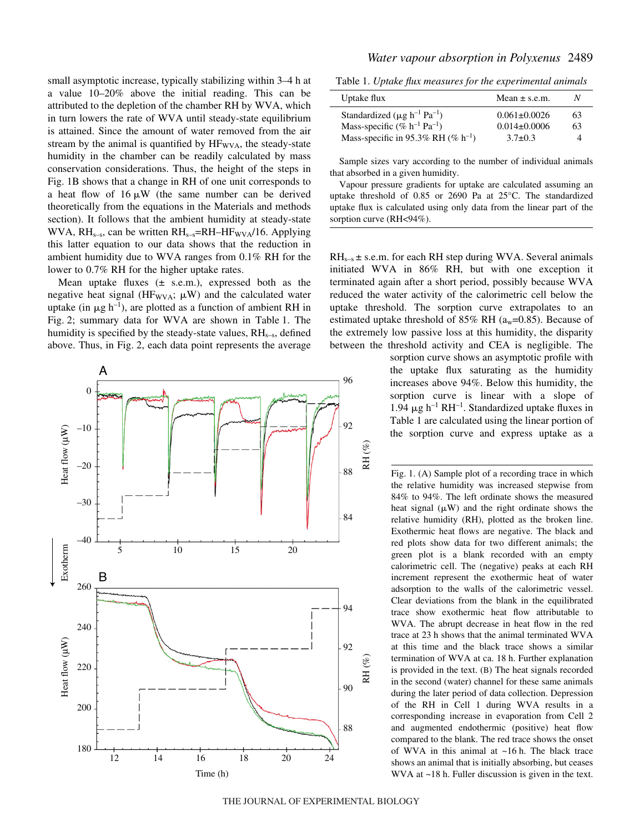small asymptotic increase, typically stabilizing within 3-4 h at a value 10–20% above the initial reading. This can be attributed to the depletion of the chamber RH by WVA, which in turn lowers the rate of WVA until steady-state equilibrium is attained. Since the amount of water removed from the air stream by the animal is quantified by  $HF_{WVA}$ , the steady-state humidity in the chamber can be readily calculated by mass conservation considerations. Thus, the height of the steps in Fig. 1B shows that a change in RH of one unit corresponds to a heat flow of  $16 \mu W$  (the same number can be derived theoretically from the equations in the Materials and methods section). It follows that the ambient humidity at steady-state WVA,  $RH_{s-s}$ , can be written  $RH_{s-s}=RH-HF_{WVA}/16$ . Applying this latter equation to our data shows that the reduction in ambient humidity due to WVA ranges from 0.1% RH for the lower to 0.7% RH for the higher uptake rates.

Mean uptake fluxes  $(\pm \text{ s.e.m.})$ , expressed both as the negative heat signal (HF<sub>WVA</sub>;  $\mu$ W) and the calculated water uptake (in  $\mu$ g h<sup>-1</sup>), are plotted as a function of ambient RH in Fig. 2; summary data for WVA are shown in Table 1. The humidity is specified by the steady-state values,  $RH_{s-s}$ , defined above. Thus, in Fig. 2, each data point represents the average



*Water vapour absorption in Polyxenus* 2489

Table 1. *Uptake flux measures for the experimental animals* 

 $\overline{a}$ 

| Uptake flux                                                                                                                                          | Mean $\pm$ s.e.m.                                     | N        |
|------------------------------------------------------------------------------------------------------------------------------------------------------|-------------------------------------------------------|----------|
| Standardized ( $\mu$ g h <sup>-1</sup> Pa <sup>-1</sup> )<br>Mass-specific (% $h^{-1}$ Pa <sup>-1</sup> )<br>Mass-specific in 95.3% RH (% $h^{-1}$ ) | $0.061 \pm 0.0026$<br>$0.014\pm0.0006$<br>$3.7 + 0.3$ | 63<br>63 |

Sample sizes vary according to the number of individual animals that absorbed in a given humidity.

Vapour pressure gradients for uptake are calculated assuming an uptake threshold of 0.85 or 2690 Pa at 25°C. The standardized uptake flux is calculated using only data from the linear part of the sorption curve (RH<94%).

 $RH_{s-s} \pm s.e.m.$  for each RH step during WVA. Several animals initiated WVA in 86% RH, but with one exception it terminated again after a short period, possibly because WVA reduced the water activity of the calorimetric cell below the uptake threshold. The sorption curve extrapolates to an estimated uptake threshold of 85% RH ( $a_w$ =0.85). Because of the extremely low passive loss at this humidity, the disparity between the threshold activity and CEA is negligible. The

> sorption curve shows an asymptotic profile with the uptake flux saturating as the humidity increases above 94%. Below this humidity, the sorption curve is linear with a slope of 1.94  $\mu$ g h<sup>-1</sup> RH<sup>-1</sup>. Standardized uptake fluxes in Table 1 are calculated using the linear portion of the sorption curve and express uptake as a

> Fig. 1. (A) Sample plot of a recording trace in which the relative humidity was increased stepwise from 84% to 94%. The left ordinate shows the measured heat signal  $(\mu W)$  and the right ordinate shows the relative humidity (RH), plotted as the broken line. Exothermic heat flows are negative. The black and red plots show data for two different animals; the green plot is a blank recorded with an empty calorimetric cell. The (negative) peaks at each RH increment represent the exothermic heat of water adsorption to the walls of the calorimetric vessel. Clear deviations from the blank in the equilibrated trace show exothermic heat flow attributable to WVA. The abrupt decrease in heat flow in the red trace at 23 h shows that the animal terminated WVA at this time and the black trace shows a similar termination of WVA at ca. 18 h. Further explanation is provided in the text. (B) The heat signals recorded in the second (water) channel for these same animals during the later period of data collection. Depression of the RH in Cell 1 during WVA results in a corresponding increase in evaporation from Cell 2 and augmented endothermic (positive) heat flow compared to the blank. The red trace shows the onset of WVA in this animal at  $~16$  h. The black trace shows an animal that is initially absorbing, but ceases WVA at  $~18$  h. Fuller discussion is given in the text.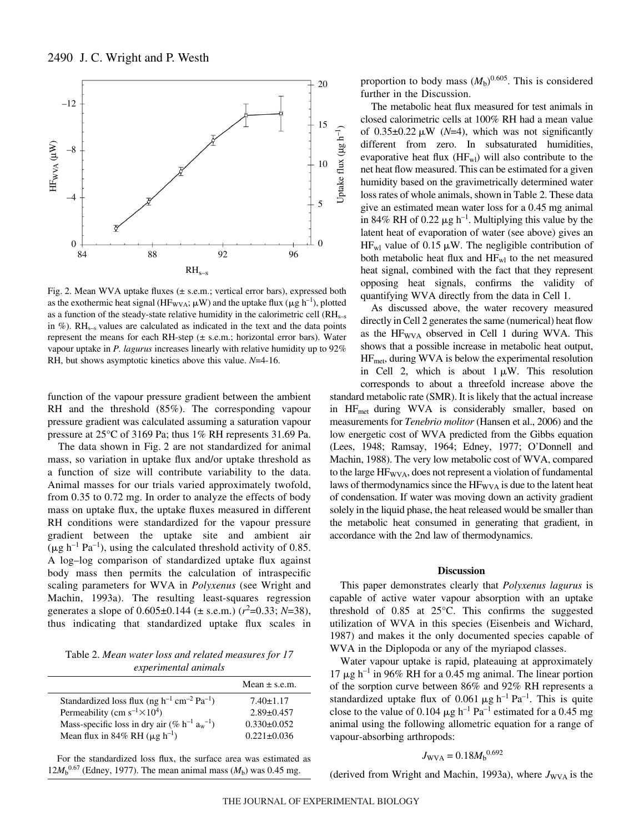

Fig. 2. Mean WVA uptake fluxes ( $\pm$  s.e.m.; vertical error bars), expressed both as the exothermic heat signal (HF<sub>WVA</sub>;  $\mu$ W) and the uptake flux ( $\mu$ g h<sup>-1</sup>), plotted as a function of the steady-state relative humidity in the calorimetric cell  $(RH<sub>s-s</sub>)$ in  $\%$ ). RH<sub>s–s</sub> values are calculated as indicated in the text and the data points represent the means for each RH-step (± s.e.m.; horizontal error bars). Water vapour uptake in *P. lagurus* increases linearly with relative humidity up to 92% RH, but shows asymptotic kinetics above this value. *N*=4-16.

function of the vapour pressure gradient between the ambient RH and the threshold (85%). The corresponding vapour pressure gradient was calculated assuming a saturation vapour pressure at  $25^{\circ}$ C of 3169 Pa; thus 1% RH represents 31.69 Pa.

The data shown in Fig. 2 are not standardized for animal mass, so variation in uptake flux and/or uptake threshold as a function of size will contribute variability to the data. Animal masses for our trials varied approximately twofold, from 0.35 to 0.72 mg. In order to analyze the effects of body mass on uptake flux, the uptake fluxes measured in different RH conditions were standardized for the vapour pressure gradient between the uptake site and ambient air  $(\mu g \, h^{-1} \, Pa^{-1})$ , using the calculated threshold activity of 0.85. A log–log comparison of standardized uptake flux against body mass then permits the calculation of intraspecific scaling parameters for WVA in *Polyxenus* (see Wright and Machin, 1993a). The resulting least-squares regression generates a slope of  $0.605 \pm 0.144$  ( $\pm$  s.e.m.) ( $r^2 = 0.33$ ;  $N = 38$ ), thus indicating that standardized uptake flux scales in

Table 2. *Mean water loss and related measures for 17 experimental animals*

|                                                                         | Mean $\pm$ s.e.m. |
|-------------------------------------------------------------------------|-------------------|
| Standardized loss flux (ng $h^{-1}$ cm <sup>-2</sup> Pa <sup>-1</sup> ) | $7.40 + 1.17$     |
| Permeability (cm $s^{-1} \times 10^4$ )                                 | $2.89 \pm 0.457$  |
| Mass-specific loss in dry air (% $h^{-1}$ $a_w^{-1}$ )                  | $0.330 \pm 0.052$ |
| Mean flux in 84% RH ( $\mu$ g h <sup>-1</sup> )                         | $0.221 \pm 0.036$ |
|                                                                         |                   |

For the standardized loss flux, the surface area was estimated as  $12M_b^{0.67}$  (Edney, 1977). The mean animal mass  $(M_b)$  was 0.45 mg.

proportion to body mass  $(M_b)^{0.605}$ . This is considered further in the Discussion.

The metabolic heat flux measured for test animals in closed calorimetric cells at 100% RH had a mean value of  $0.35\pm0.22 \mu W$  (*N*=4), which was not significantly different from zero. In subsaturated humidities, evaporative heat flux  $(HF_w)$  will also contribute to the net heat flow measured. This can be estimated for a given humidity based on the gravimetrically determined water loss rates of whole animals, shown in Table 2. These data give an estimated mean water loss for a 0.45 mg animal in 84% RH of 0.22  $\mu$ g h<sup>-1</sup>. Multiplying this value by the latent heat of evaporation of water (see above) gives an  $HF_{wl}$  value of 0.15  $\mu$ W. The negligible contribution of both metabolic heat flux and  $HF_{wl}$  to the net measured heat signal, combined with the fact that they represent opposing heat signals, confirms the validity of quantifying WVA directly from the data in Cell 1.

As discussed above, the water recovery measured directly in Cell 2 generates the same (numerical) heat flow as the HF<sub>WVA</sub> observed in Cell 1 during WVA. This shows that a possible increase in metabolic heat output,  $HF<sub>met</sub>$ , during WVA is below the experimental resolution in Cell 2, which is about  $1 \mu W$ . This resolution corresponds to about a threefold increase above the

standard metabolic rate (SMR). It is likely that the actual increase in HF<sub>met</sub> during WVA is considerably smaller, based on measurements for *Tenebrio molitor* (Hansen et al., 2006) and the low energetic cost of WVA predicted from the Gibbs equation (Lees, 1948; Ramsay, 1964; Edney, 1977; O'Donnell and Machin, 1988). The very low metabolic cost of WVA, compared to the large  $HF_{\text{WVA}}$ , does not represent a violation of fundamental laws of thermodynamics since the  $HF_{\text{WVA}}$  is due to the latent heat of condensation. If water was moving down an activity gradient solely in the liquid phase, the heat released would be smaller than the metabolic heat consumed in generating that gradient, in accordance with the 2nd law of thermodynamics.

#### **Discussion**

This paper demonstrates clearly that *Polyxenus lagurus* is capable of active water vapour absorption with an uptake threshold of 0.85 at 25°C. This confirms the suggested utilization of WVA in this species (Eisenbeis and Wichard, 1987) and makes it the only documented species capable of WVA in the Diplopoda or any of the myriapod classes.

Water vapour uptake is rapid, plateauing at approximately 17  $\mu$ g h<sup>-1</sup> in 96% RH for a 0.45 mg animal. The linear portion of the sorption curve between 86% and 92% RH represents a standardized uptake flux of 0.061  $\mu$ g h<sup>-1</sup> Pa<sup>-1</sup>. This is quite close to the value of 0.104  $\mu$ g h<sup>-1</sup> Pa<sup>-1</sup> estimated for a 0.45 mg animal using the following allometric equation for a range of vapour-absorbing arthropods:

$$
J_{\rm WVA} = 0.18 M_{\rm b}^{0.692}
$$

(derived from Wright and Machin, 1993a), where  $J_{\text{WVA}}$  is the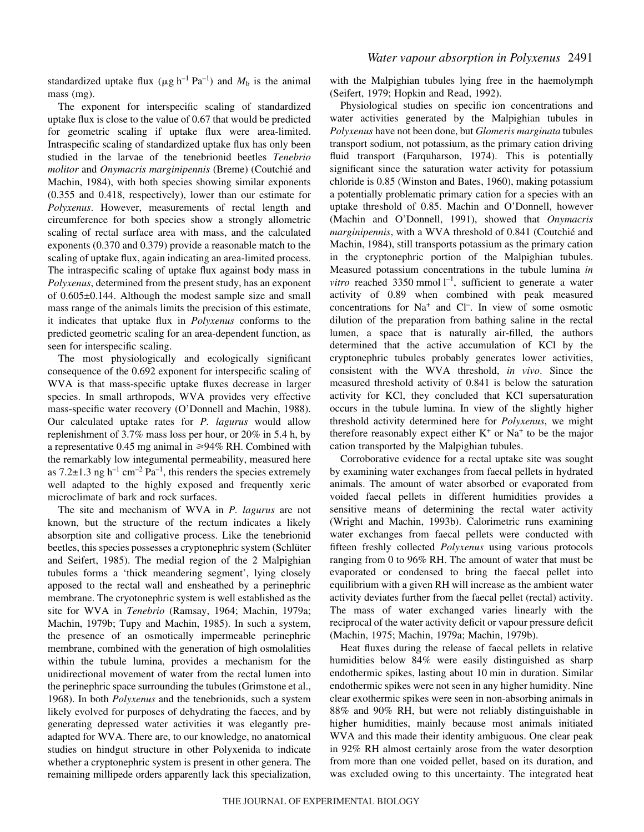standardized uptake flux ( $\mu$ g h<sup>-1</sup> Pa<sup>-1</sup>) and  $M_b$  is the animal mass (mg).

The exponent for interspecific scaling of standardized uptake flux is close to the value of 0.67 that would be predicted for geometric scaling if uptake flux were area-limited. Intraspecific scaling of standardized uptake flux has only been studied in the larvae of the tenebrionid beetles *Tenebrio molitor* and *Onymacris marginipennis* (Breme) (Coutchié and Machin, 1984), with both species showing similar exponents (0.355 and 0.418, respectively), lower than our estimate for *Polyxenus*. However, measurements of rectal length and circumference for both species show a strongly allometric scaling of rectal surface area with mass, and the calculated exponents (0.370 and 0.379) provide a reasonable match to the scaling of uptake flux, again indicating an area-limited process. The intraspecific scaling of uptake flux against body mass in *Polyxenus*, determined from the present study, has an exponent of 0.605±0.144. Although the modest sample size and small mass range of the animals limits the precision of this estimate, it indicates that uptake flux in *Polyxenus* conforms to the predicted geometric scaling for an area-dependent function, as seen for interspecific scaling.

The most physiologically and ecologically significant consequence of the 0.692 exponent for interspecific scaling of WVA is that mass-specific uptake fluxes decrease in larger species. In small arthropods, WVA provides very effective mass-specific water recovery (O'Donnell and Machin, 1988). Our calculated uptake rates for *P. lagurus* would allow replenishment of  $3.7\%$  mass loss per hour, or  $20\%$  in  $5.4~h$ , by a representative 0.45 mg animal in  $\geq 94\%$  RH. Combined with the remarkably low integumental permeability, measured here as 7.2 $\pm$ 1.3 ng h<sup>-1</sup> cm<sup>-2</sup> Pa<sup>-1</sup>, this renders the species extremely well adapted to the highly exposed and frequently xeric microclimate of bark and rock surfaces.

The site and mechanism of WVA in *P. lagurus* are not known, but the structure of the rectum indicates a likely absorption site and colligative process. Like the tenebrionid beetles, this species possesses a cryptonephric system (Schlüter and Seifert, 1985). The medial region of the 2 Malpighian tubules forms a 'thick meandering segment', lying closely apposed to the rectal wall and ensheathed by a perinephric membrane. The cryotonephric system is well established as the site for WVA in *Tenebrio* (Ramsay, 1964; Machin, 1979a; Machin, 1979b; Tupy and Machin, 1985). In such a system, the presence of an osmotically impermeable perinephric membrane, combined with the generation of high osmolalities within the tubule lumina, provides a mechanism for the unidirectional movement of water from the rectal lumen into the perinephric space surrounding the tubules (Grimstone et al., 1968). In both *Polyxenus* and the tenebrionids, such a system likely evolved for purposes of dehydrating the faeces, and by generating depressed water activities it was elegantly preadapted for WVA. There are, to our knowledge, no anatomical studies on hindgut structure in other Polyxenida to indicate whether a cryptonephric system is present in other genera. The remaining millipede orders apparently lack this specialization,

with the Malpighian tubules lying free in the haemolymph (Seifert, 1979; Hopkin and Read, 1992).

Physiological studies on specific ion concentrations and water activities generated by the Malpighian tubules in *Polyxenus* have not been done, but *Glomeris marginata* tubules transport sodium, not potassium, as the primary cation driving fluid transport (Farquharson, 1974). This is potentially significant since the saturation water activity for potassium chloride is 0.85 (Winston and Bates, 1960), making potassium a potentially problematic primary cation for a species with an uptake threshold of 0.85. Machin and O'Donnell, however (Machin and O'Donnell, 1991), showed that *Onymacris marginipennis*, with a WVA threshold of 0.841 (Coutchié and Machin, 1984), still transports potassium as the primary cation in the cryptonephric portion of the Malpighian tubules. Measured potassium concentrations in the tubule lumina *in vitro* reached 3350 mmol  $l^{-1}$ , sufficient to generate a water activity of 0.89 when combined with peak measured concentrations for Na+ and Cl– . In view of some osmotic dilution of the preparation from bathing saline in the rectal lumen, a space that is naturally air-filled*,* the authors determined that the active accumulation of KCl by the cryptonephric tubules probably generates lower activities, consistent with the WVA threshold, *in vivo*. Since the measured threshold activity of 0.841 is below the saturation activity for KCl, they concluded that KCl supersaturation occurs in the tubule lumina. In view of the slightly higher threshold activity determined here for *Polyxenus*, we might therefore reasonably expect either  $K^+$  or  $Na^+$  to be the major cation transported by the Malpighian tubules.

Corroborative evidence for a rectal uptake site was sought by examining water exchanges from faecal pellets in hydrated animals. The amount of water absorbed or evaporated from voided faecal pellets in different humidities provides a sensitive means of determining the rectal water activity (Wright and Machin, 1993b). Calorimetric runs examining water exchanges from faecal pellets were conducted with fifteen freshly collected *Polyxenus* using various protocols ranging from 0 to 96% RH. The amount of water that must be evaporated or condensed to bring the faecal pellet into equilibrium with a given RH will increase as the ambient water activity deviates further from the faecal pellet (rectal) activity. The mass of water exchanged varies linearly with the reciprocal of the water activity deficit or vapour pressure deficit (Machin, 1975; Machin, 1979a; Machin, 1979b).

Heat fluxes during the release of faecal pellets in relative humidities below 84% were easily distinguished as sharp endothermic spikes, lasting about 10 min in duration. Similar endothermic spikes were not seen in any higher humidity. Nine clear exothermic spikes were seen in non-absorbing animals in 88% and 90% RH, but were not reliably distinguishable in higher humidities, mainly because most animals initiated WVA and this made their identity ambiguous. One clear peak in 92% RH almost certainly arose from the water desorption from more than one voided pellet, based on its duration, and was excluded owing to this uncertainty. The integrated heat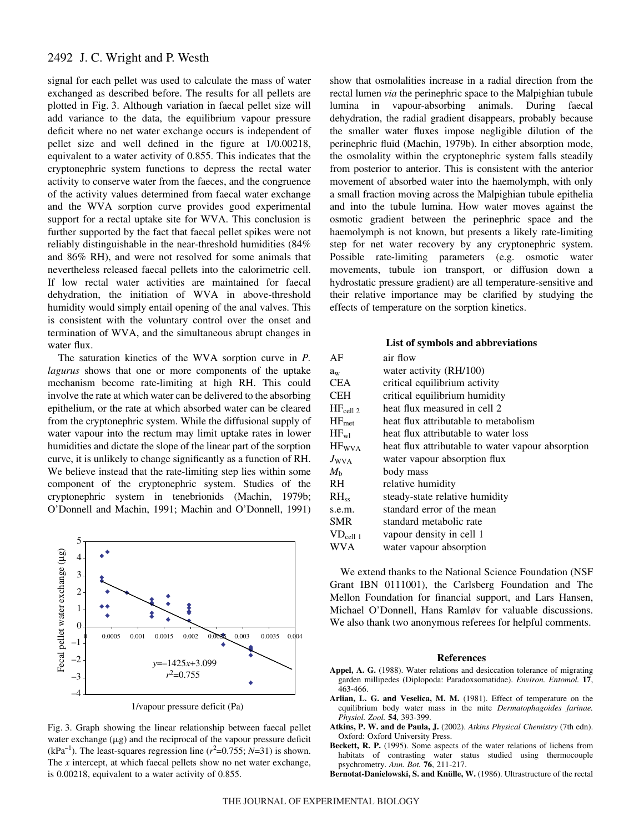# 2492 J. C. Wright and P. Westh

signal for each pellet was used to calculate the mass of water exchanged as described before. The results for all pellets are plotted in Fig. 3. Although variation in faecal pellet size will add variance to the data, the equilibrium vapour pressure deficit where no net water exchange occurs is independent of pellet size and well defined in the figure at 1/0.00218, equivalent to a water activity of 0.855. This indicates that the cryptonephric system functions to depress the rectal water activity to conserve water from the faeces, and the congruence of the activity values determined from faecal water exchange and the WVA sorption curve provides good experimental support for a rectal uptake site for WVA. This conclusion is further supported by the fact that faecal pellet spikes were not reliably distinguishable in the near-threshold humidities (84% and 86% RH), and were not resolved for some animals that nevertheless released faecal pellets into the calorimetric cell. If low rectal water activities are maintained for faecal dehydration, the initiation of WVA in above-threshold humidity would simply entail opening of the anal valves. This is consistent with the voluntary control over the onset and termination of WVA, and the simultaneous abrupt changes in water flux.

The saturation kinetics of the WVA sorption curve in *P. lagurus* shows that one or more components of the uptake mechanism become rate-limiting at high RH. This could involve the rate at which water can be delivered to the absorbing epithelium, or the rate at which absorbed water can be cleared from the cryptonephric system. While the diffusional supply of water vapour into the rectum may limit uptake rates in lower humidities and dictate the slope of the linear part of the sorption curve, it is unlikely to change significantly as a function of RH. We believe instead that the rate-limiting step lies within some component of the cryptonephric system. Studies of the cryptonephric system in tenebrionids (Machin, 1979b; O'Donnell and Machin, 1991; Machin and O'Donnell, 1991)



1/vapour pressure deficit (Pa)

Fig. 3. Graph showing the linear relationship between faecal pellet water exchange  $(\mu g)$  and the reciprocal of the vapour pressure deficit  $(kPa^{-1})$ . The least-squares regression line ( $r^2$ =0.755;  $N$ =31) is shown. The *x* intercept, at which faecal pellets show no net water exchange, is 0.00218, equivalent to a water activity of 0.855.

show that osmolalities increase in a radial direction from the rectal lumen *via* the perinephric space to the Malpighian tubule lumina in vapour-absorbing animals. During faecal dehydration, the radial gradient disappears, probably because the smaller water fluxes impose negligible dilution of the perinephric fluid (Machin, 1979b). In either absorption mode, the osmolality within the cryptonephric system falls steadily from posterior to anterior. This is consistent with the anterior movement of absorbed water into the haemolymph, with only a small fraction moving across the Malpighian tubule epithelia and into the tubule lumina. How water moves against the osmotic gradient between the perinephric space and the haemolymph is not known, but presents a likely rate-limiting step for net water recovery by any cryptonephric system. Possible rate-limiting parameters (e.g. osmotic water movements, tubule ion transport, or diffusion down a hydrostatic pressure gradient) are all temperature-sensitive and their relative importance may be clarified by studying the effects of temperature on the sorption kinetics.

#### **List of symbols and abbreviations**

| AF            | air flow                                          |
|---------------|---------------------------------------------------|
| $a_{w}$       | water activity (RH/100)                           |
| CEA           | critical equilibrium activity                     |
| CEH           | critical equilibrium humidity                     |
| $HF_{cell 2}$ | heat flux measured in cell 2                      |
| $HF_{met}$    | heat flux attributable to metabolism              |
| $HF_{w1}$     | heat flux attributable to water loss              |
| $HF_{WVA}$    | heat flux attributable to water vapour absorption |
| $J_{\rm WVA}$ | water vapour absorption flux                      |
| $M_{\rm h}$   | body mass                                         |
| RH            | relative humidity                                 |
| $RH_{ss}$     | steady-state relative humidity                    |
| s.e.m.        | standard error of the mean                        |
| SMR           | standard metabolic rate                           |
| $VD_{cell 1}$ | vapour density in cell 1                          |
| WVA           | water vapour absorption                           |

We extend thanks to the National Science Foundation (NSF Grant IBN 0111001), the Carlsberg Foundation and The Mellon Foundation for financial support, and Lars Hansen, Michael O'Donnell, Hans Ramløv for valuable discussions. We also thank two anonymous referees for helpful comments.

#### **References**

- **Appel, A. G.** (1988). Water relations and desiccation tolerance of migrating garden millipedes (Diplopoda: Paradoxsomatidae). *Environ. Entomol.* **17**, 463-466.
- **Arlian, L. G. and Veselica, M. M.** (1981). Effect of temperature on the equilibrium body water mass in the mite *Dermatophagoides farinae. Physiol. Zool.* **54**, 393-399.
- **Atkins, P. W. and de Paula, J.** (2002). *Atkins Physical Chemistry* (7th edn). Oxford: Oxford University Press.
- **Beckett, R. P.** (1995). Some aspects of the water relations of lichens from habitats of contrasting water status studied using thermocouple psychrometry. *Ann. Bot.* **76**, 211-217.

**Bernotat-Danielowski, S. and Knülle, W.** (1986). Ultrastructure of the rectal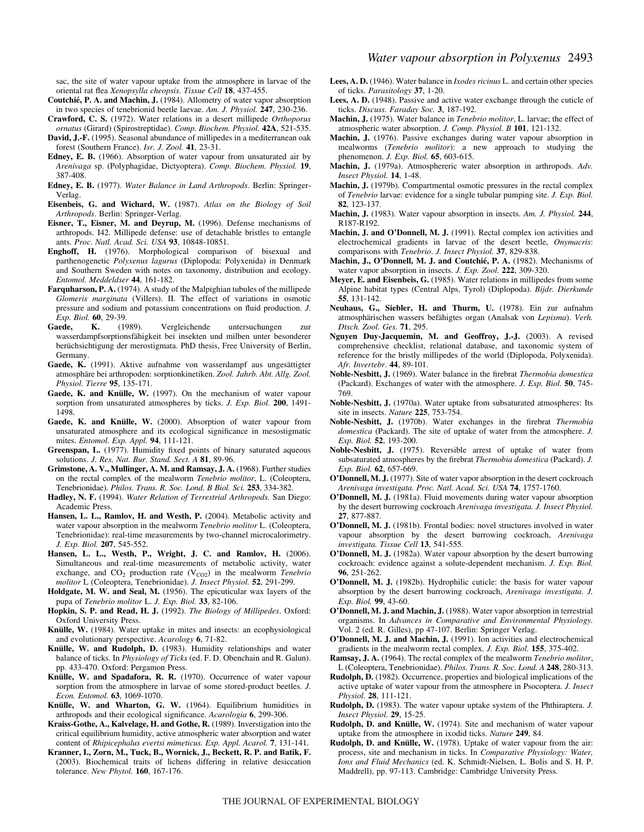sac, the site of water vapour uptake from the atmosphere in larvae of the oriental rat flea *Xenopsylla cheopsis. Tissue Cell* **18**, 437-455.

- **Coutchié, P. A. and Machin, J.** (1984). Allometry of water vapor absorption in two species of tenebrionid beetle laevae. *Am. J. Physiol.* **247**, 230-236.
- **Crawford, C. S.** (1972). Water relations in a desert millipede *Orthoporus ornatus* (Girard) (Spirostreptidae). *Comp. Biochem. Physiol.* **42A**, 521-535.
- **David, J.-F.** (1995). Seasonal abundance of millipedes in a mediterranean oak forest (Southern France). *Isr. J. Zool.* **41**, 23-31.
- **Edney, E. B.** (1966). Absorption of water vapour from unsaturated air by *Arenivaga* sp. (Polyphagidae, Dictyoptera). *Comp. Biochem. Physiol.* **19**, 387-408.
- **Edney, E. B.** (1977). *Water Balance in Land Arthropods*. Berlin: Springer-Verlag.
- **Eisenbeis, G. and Wichard, W.** (1987). *Atlas on the Biology of Soil Arthropods*. Berlin: Springer-Verlag.
- **Eisner, T., Eisner, M. and Deyrup, M.** (1996). Defense mechanisms of arthropods. I42. Millipede defense: use of detachable bristles to entangle ants. *Proc. Natl. Acad. Sci. USA* **93**, 10848-10851.
- **Enghoff, H.** (1976). Morphological comparison of bisexual and parthenogenetic *Polyxenus lagurus* (Diplopoda: Polyxenida) in Denmark and Southern Sweden with notes on taxonomy, distribution and ecology. *Entomol. Meddeldser* **44**, 161-182.
- **Farquharson, P. A.** (1974). A study of the Malpighian tubules of the millipede *Glomeris marginata* (Villers). II. The effect of variations in osmotic pressure and sodium and potassium concentrations on fluid production. *J. Exp. Biol.* **60**, 29-39.<br>**aede, K.** (1989).
- **Gaede, K.** (1989). Vergleichende untersuchungen zur wasserdampfsorptionsfähigkeit bei insekten und milben unter besonderer berüchsichtigung der merostigmata. PhD thesis, Free University of Berlin, Germany.
- **Gaede, K.** (1991). Aktive aufnahme von wasserdampf aus ungesättigter atmosphäre bei arthropoden: sorptionkinetiken. *Zool. Jahrb. Abt. Allg. Zool. Physiol. Tierre* **95**, 135-171.
- **Gaede, K. and Knülle, W.** (1997). On the mechanism of water vapour sorption from unsaturated atmospheres by ticks. *J. Exp. Biol.* **200**, 1491- 1498.
- **Gaede, K. and Knülle, W.** (2000). Absorption of water vapour from unsaturated atmosphere and its ecological significance in mesostigmatic mites. *Entomol. Exp. Appl.* **94**, 111-121.
- **Greenspan, L.** (1977). Humidity fixed points of binary saturated aqueous solutions. *J. Res. Nat. Bur. Stand. Sect. A* **81**, 89-96.
- **Grimstone, A. V., Mullinger, A. M. and Ramsay, J. A.** (1968). Further studies on the rectal complex of the mealworm *Tenebrio molitor*, L. (Coleoptera, Tenebrionidae). *Philos. Trans. R. Soc. Lond. B Biol. Sci.* **253**, 334-382.
- **Hadley, N. F.** (1994). *Water Relation of Terrestrial Arthropods.* San Diego: Academic Press.
- **Hansen, L. L., Ramlov, H. and Westh, P.** (2004). Metabolic activity and water vapour absorption in the mealworm *Tenebrio molitor* L. (Coleoptera, Tenebrionidae): real-time measurements by two-channel microcalorimetry. *J. Exp. Biol.* **207**, 545-552.
- **Hansen, L. L., Westh, P., Wright, J. C. and Ramlov, H.** (2006). Simultaneous and real-time measurements of metabolic activity, water exchange, and  $CO_2$  production rate  $(V_{CO2})$  in the mealworm *Tenebrio molitor* L (Coleoptera, Tenebrionidae). *J. Insect Physiol.* **52**, 291-299.
- **Holdgate, M. W. and Seal, M.** (1956). The epicuticular wax layers of the pupa of *Tenebrio molitor* L. *J. Exp. Biol.* **33**, 82-106.
- **Hopkin, S. P. and Read, H. J.** (1992). *The Biology of Millipedes*. Oxford: Oxford University Press.
- **Knülle, W.** (1984). Water uptake in mites and insects: an ecophysiological and evolutionary perspective. *Acarology* **6**, 71-82.
- **Knülle, W. and Rudolph, D.** (1983). Humidity relationships and water balance of ticks. In *Physiology of Ticks* (ed. F. D. Obenchain and R. Galun). pp. 433-470. Oxford: Pergamon Press.
- **Knülle, W. and Spadafora, R. R.** (1970). Occurrence of water vapour sorption from the atmosphere in larvae of some stored-product beetles. *J. Econ. Entomol.* **63**, 1069-1070.
- **Knülle, W. and Wharton, G. W.** (1964). Equilibrium humidities in arthropods and their ecological significance. *Acarologia* **6**, 299-306.
- **Kraiss-Gothe, A., Kalvelage, H. and Gothe, R.** (1989). Inverstigation into the critical equilibrium humidity, active atmospheric water absorption and water content of *Rhipicephalus evertsi mimeticus. Exp. Appl. Acarol.* **7**, 131-141.
- **Kranner, I., Zorn, M., Tuck, B., Wornick, J., Beckett, R. P. and Batik, F.** (2003). Biochemical traits of lichens differing in relative desiccation tolerance. *New Phytol.* **160**, 167-176.
- **Lees, A. D.** (1946). Water balance in *Ixodes ricinus* L. and certain other species of ticks. *Parasitology* **37**, 1-20.
- **Lees, A. D.** (1948). Passive and active water exchange through the cuticle of ticks. *Discuss. Faraday Soc.* **3**, 187-192.
- **Machin, J.** (1975). Water balance in *Tenebrio molitor*, L. larvae; the effect of atmospheric water absorption. *J. Comp. Physiol. B* **101**, 121-132.
- **Machin, J.** (1976). Passive exchanges during water vapour absorption in mealworms (*Tenebrio molitor*): a new approach to studying the phenomenon. *J. Exp. Biol.* **65**, 603-615.
- **Machin, J.** (1979a). Atmosphereric water absorption in arthropods. *Adv. Insect Physiol.* **14**, 1-48.
- **Machin, J.** (1979b). Compartmental osmotic pressures in the rectal complex of *Tenebrio* larvae: evidence for a single tubular pumping site. *J. Exp. Biol.* **82**, 123-137.
- **Machin, J.** (1983). Water vapour absorption in insects. *Am. J. Physiol.* **244**, R187-R192.
- **Machin, J. and O'Donnell, M. J.** (1991). Rectal complex ion activities and electrochemical gradients in larvae of the desert beetle, *Onymacris*: comparisons with *Tenebrio*. *J. Insect Physiol.* **37**, 829-838.
- **Machin, J., O'Donnell, M. J. and Coutchié, P. A.** (1982). Mechanisms of water vapor absorption in insects. *J. Exp. Zool.* **222**, 309-320.
- **Meyer, E. and Eisenbeis, G.** (1985). Water relations in millipedes from some Alpine habitat types (Central Alps, Tyrol) (Diplopoda). *Bijdr. Dierkunde* **55**, 131-142.
- **Neuhaus, G., Siebler, H. and Thurm, U.** (1978). Ein zur aufnahm atmosphärischen wassers befähigtes organ (Analsak von *Lepisma*). *Verh. Dtsch. Zool. Ges.* **71**, 295.
- **Nguyen Duy-Jacquemin, M. and Geoffroy, J.-J.** (2003). A revised comprehensive checklist, relational database, and taxonomic system of reference for the bristly millipedes of the world (Diplopoda, Polyxenida). *Afr. Invertebr*. **44**, 89-101.
- **Noble-Nesbitt, J.** (1969). Water balance in the firebrat *Thermobia domestica* (Packard). Exchanges of water with the atmosphere. *J. Exp. Biol.* **50**, 745- 769.
- **Noble-Nesbitt, J.** (1970a). Water uptake from subsaturated atmospheres: Its site in insects. *Nature* **225**, 753-754.
- **Noble-Nesbitt, J.** (1970b). Water exchanges in the firebrat *Thermobia domestica* (Packard). The site of uptake of water from the atmosphere. *J. Exp. Biol.* **52**, 193-200.
- **Noble-Nesbitt, J.** (1975). Reversible arrest of uptake of water from subsaturated atmospheres by the firebrat *Thermobia domestica* (Packard). *J. Exp. Biol.* **62**, 657-669.
- **O'Donnell, M. J.** (1977). Site of water vapor absorption in the desert cockroach *Arenivaga investigata. Proc. Natl. Acad. Sci. USA* **74**, 1757-1760.
- **O'Donnell, M. J.** (1981a). Fluid movements during water vapour absorption by the desert burrowing cockroach *Arenivaga investigata. J. Insect Physiol.* **27**, 877-887.
- **O'Donnell, M. J.** (1981b). Frontal bodies: novel structures involved in water vapour absorption by the desert burrowing cockroach, *Arenivaga investigata. Tissue Cell* **13**, 541-555.
- **O'Donnell, M. J.** (1982a). Water vapour absorption by the desert burrowing cockroach: evidence against a solute-dependent mechanism. *J. Exp. Biol.* **96**, 251-262.
- **O'Donnell, M. J.** (1982b). Hydrophilic cuticle: the basis for water vapour absorption by the desert burrowing cockroach, *Arenivaga investigata. J. Exp. Biol.* **99**, 43-60.
- **O'Donnell, M. J. and Machin, J.** (1988). Water vapor absorption in terrestrial organisms. In *Advances in Comparative and Environmental Physiology.* Vol. 2 (ed. R. Gilles), pp 47-107. Berlin: Springer Verlag.
- **O'Donnell, M. J. and Machin, J.** (1991). Ion activities and electrochemical gradients in the mealworm rectal complex. *J. Exp. Biol.* **155**, 375-402.
- **Ramsay, J. A.** (1964). The rectal complex of the mealworm *Tenebrio molitor*, L (Coleoptera, Tenebrionidae). *Philos. Trans. R. Soc. Lond. A* **248**, 280-313.
- **Rudolph, D.** (1982). Occurrence, properties and biological implications of the active uptake of water vapour from the atmosphere in Psocoptera. *J. Insect Physiol.* **28**, 111-121.
- **Rudolph, D.** (1983). The water vapour uptake system of the Phthiraptera. *J. Insect Physiol.* **29**, 15-25.
- **Rudolph, D. and Knülle, W.** (1974). Site and mechanism of water vapour uptake from the atmosphere in ixodid ticks. *Nature* **249**, 84.
- **Rudolph, D. and Knülle, W.** (1978). Uptake of water vapour from the air: process, site and mechanism in ticks. In *Comparative Physiology: Water, Ions and Fluid Mechanics* (ed. K. Schmidt-Nielsen, L. Bolis and S. H. P. Maddrell), pp. 97-113. Cambridge: Cambridge University Press.